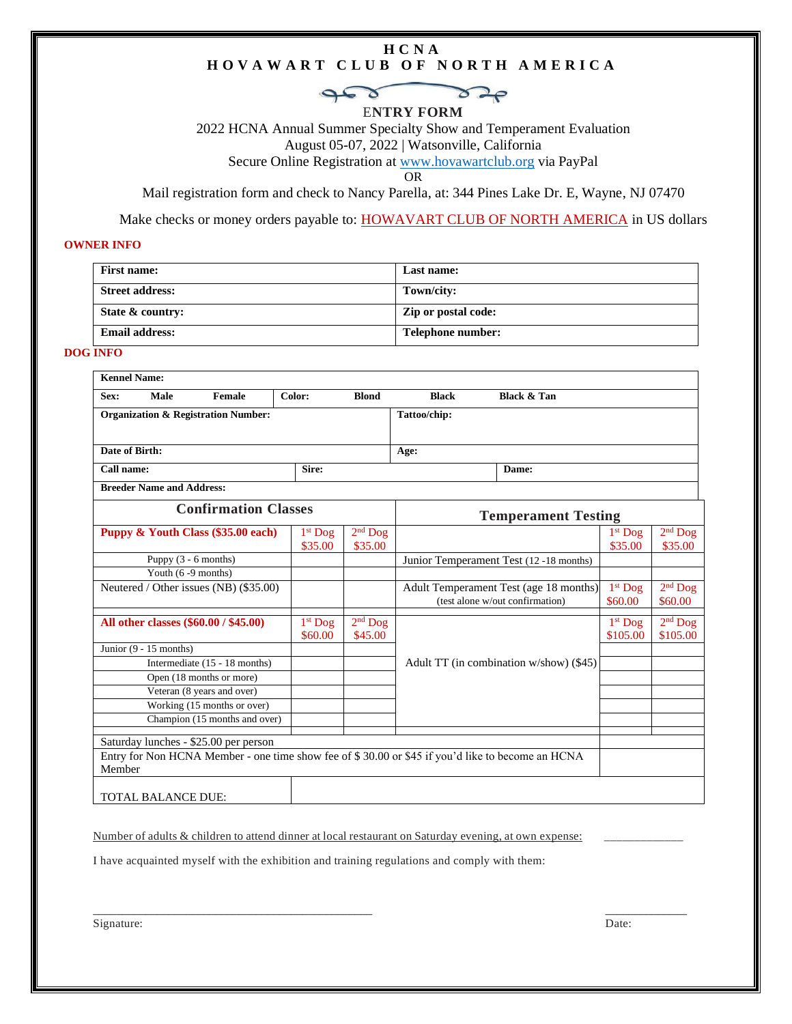#### **H C N A H O V A W A R T C L U B O F N O R T H A M E R I C A**

# $\boldsymbol{\delta}$

E**NTRY FORM**

2022 HCNA Annual Summer Specialty Show and Temperament Evaluation August 05-07, 2022 | Watsonville, California

Secure Online Registration at [www.hovawartclub.org](http://www.hovawartclub.org/) via PayPal

OR

Mail registration form and check to Nancy Parella, at: 344 Pines Lake Dr. E, Wayne, NJ 07470

Make checks or money orders payable to: **HOWAVART CLUB OF NORTH AMERICA** in US dollars

#### **OWNER INFO**

| <b>First name:</b>     | Last name:          |
|------------------------|---------------------|
| <b>Street address:</b> | Town/city:          |
| State $\&$ country:    | Zip or postal code: |
| <b>Email address:</b>  | Telephone number:   |

#### **DOG INFO**

| Sex:                                           | Male                             | Female                                                                   | Color:                     | <b>Blond</b>                           | <b>Black</b>                                                              | <b>Black &amp; Tan</b>                                                                           |                       |                       |
|------------------------------------------------|----------------------------------|--------------------------------------------------------------------------|----------------------------|----------------------------------------|---------------------------------------------------------------------------|--------------------------------------------------------------------------------------------------|-----------------------|-----------------------|
| <b>Organization &amp; Registration Number:</b> |                                  |                                                                          | Tattoo/chip:               |                                        |                                                                           |                                                                                                  |                       |                       |
| Date of Birth:                                 |                                  |                                                                          |                            | Age:                                   |                                                                           |                                                                                                  |                       |                       |
| Call name:<br>Sire:                            |                                  |                                                                          |                            | Dame:                                  |                                                                           |                                                                                                  |                       |                       |
|                                                | <b>Breeder Name and Address:</b> |                                                                          |                            |                                        |                                                                           |                                                                                                  |                       |                       |
| <b>Confirmation Classes</b>                    |                                  |                                                                          | <b>Temperament Testing</b> |                                        |                                                                           |                                                                                                  |                       |                       |
|                                                |                                  | Puppy & Youth Class (\$35.00 each)                                       | $1st$ Dog<br>\$35.00       | $2nd$ Dog<br>\$35.00                   |                                                                           |                                                                                                  | $1st$ Dog<br>\$35.00  | $2nd$ Dog<br>\$35.00  |
| Puppy (3 - 6 months)                           |                                  |                                                                          |                            | Junior Temperament Test (12-18 months) |                                                                           |                                                                                                  |                       |                       |
|                                                | Youth (6-9 months)               |                                                                          |                            |                                        |                                                                           |                                                                                                  |                       |                       |
|                                                |                                  | Neutered / Other issues (NB) (\$35.00)                                   |                            |                                        | Adult Temperament Test (age 18 months)<br>(test alone w/out confirmation) |                                                                                                  | $1st$ Dog<br>\$60.00  | $2nd$ Dog<br>\$60.00  |
|                                                |                                  | All other classes (\$60.00 / \$45.00)                                    | $1st$ Dog<br>\$60.00       | $2nd$ Dog<br>\$45.00                   |                                                                           |                                                                                                  | $1st$ Dog<br>\$105.00 | $2nd$ Dog<br>\$105.00 |
|                                                | Junior $(9 - 15$ months)         |                                                                          |                            |                                        |                                                                           |                                                                                                  |                       |                       |
|                                                |                                  | Adult TT (in combination w/show) (\$45)<br>Intermediate (15 - 18 months) |                            |                                        |                                                                           |                                                                                                  |                       |                       |
|                                                |                                  | Open (18 months or more)                                                 |                            |                                        |                                                                           |                                                                                                  |                       |                       |
|                                                |                                  | Veteran (8 years and over)                                               |                            |                                        |                                                                           |                                                                                                  |                       |                       |
|                                                |                                  | Working (15 months or over)                                              |                            |                                        |                                                                           |                                                                                                  |                       |                       |
|                                                |                                  | Champion (15 months and over)                                            |                            |                                        |                                                                           |                                                                                                  |                       |                       |
|                                                |                                  | Saturday lunches - \$25.00 per person                                    |                            |                                        |                                                                           |                                                                                                  |                       |                       |
| Member                                         |                                  |                                                                          |                            |                                        |                                                                           | Entry for Non HCNA Member - one time show fee of \$30.00 or \$45 if you'd like to become an HCNA |                       |                       |

TOTAL BALANCE DUE:

Number of adults & children to attend dinner at local restaurant on Saturday evening, at own expense:

 $\overline{\phantom{a}}$  , and the contribution of the contribution of the contribution of the contribution of the contribution of the contribution of the contribution of the contribution of the contribution of the contribution of the

I have acquainted myself with the exhibition and training regulations and comply with them:

Signature: Date: Date: Date: Date: Date: Date: Date: Date: Date: Date: Date: Date: Date: Date: Date: Date: Date: Date: Date: Date: Date: Date: Date: Date: Date: Date: Date: Date: Date: Date: Date: Date: Date: Date: Date: D